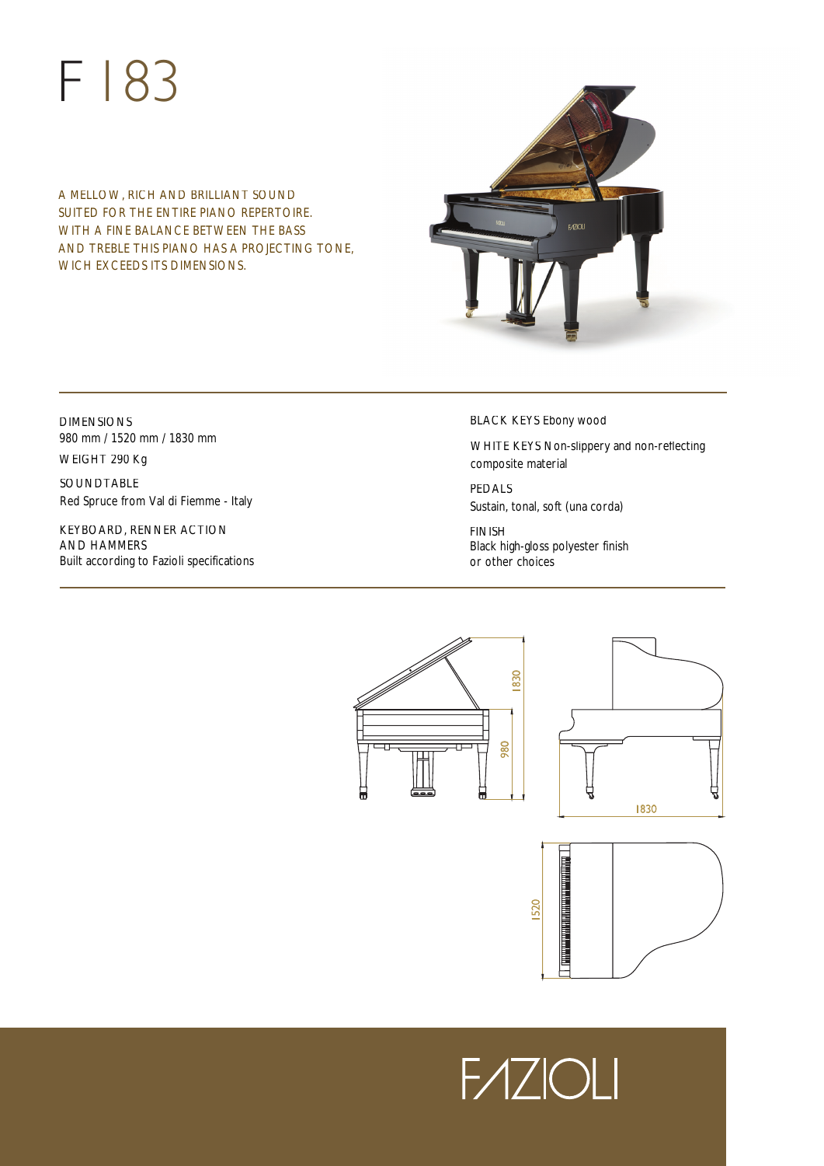# F 183

A MELLOW, RICH AND BRILLIANT SOUND SUITED FOR THE ENTIRE PIANO REPERTOIRE. WITH A FINE BALANCE BETWEEN THE BASS AND TREBLE THIS PIANO HAS A PROJECTING TONE, WICH EXCEEDS ITS DIMENSIONS.



# DIMENSIONS 980 mm / 1520 mm / 1830 mm

WEIGHT 290 Kg

SOUNDTABLE Red Spruce from Val di Fiemme - Italy

KEYBOARD, RENNER ACTION AND HAMMERS Built according to Fazioli specifications BLACK KEYS Ebony wood

WHITE KEYS Non-slippery and non-reflecting composite material

PEDALS Sustain, tonal, soft (una corda)

FINISH Black high-gloss polyester finish or other choices



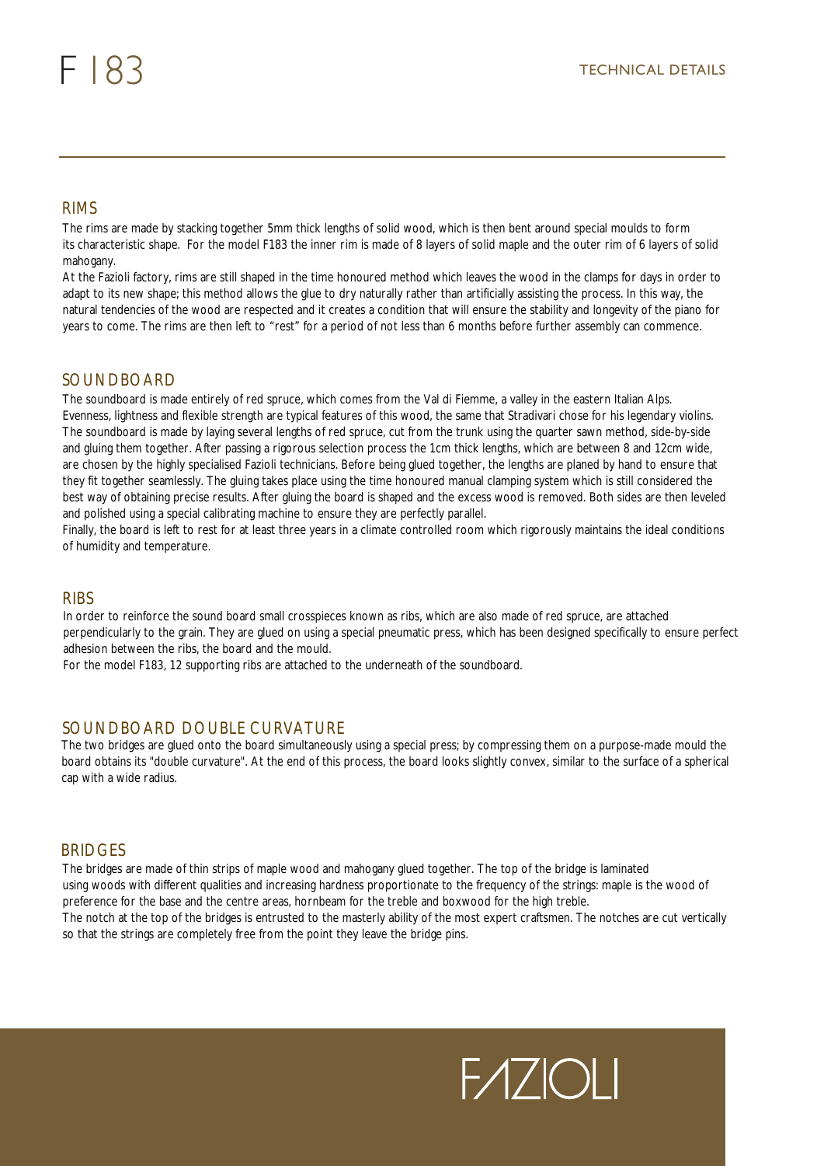The rims are made by stacking together 5mm thick lengths of solid wood, which is then bent around special moulds to form its characteristic shape. For the model F183 the inner rim is made of 8 layers of solid maple and the outer rim of 6 layers of solid mahogany.

At the Fazioli factory, rims are still shaped in the time honoured method which leaves the wood in the clamps for days in order to adapt to its new shape; this method allows the glue to dry naturally rather than artificially assisting the process. In this way, the natural tendencies of the wood are respected and it creates a condition that will ensure the stability and longevity of the piano for RIMS<br>The rims are made by stacking together 5mm thick lengths of solid wood, which is then bent around special moulds to form<br>its characteristic shape. For the model F183 the inner rim is made of 8 layers of solid maple an

# **SOUNDBOARD**

The soundboard is made entirely of red spruce, which comes from the Val di Fiemme, a valley in the eastern Italian Alps. Evenness, lightness and flexible strength are typical features of this wood, the same that Stradivari chose for his legendary violins. The soundboard is made by laying several lengths of red spruce, cut from the trunk using the quarter sawn method, side-by-side and gluing them together. After passing a rigorous selection process the 1cm thick lengths, which are between 8 and 12cm wide, are chosen by the highly specialised Fazioli technicians. Before being glued together, the lengths are planed by hand to ensure that they fit together seamlessly. The gluing takes place using the time honoured manual clamping system which is still considered the best way of obtaining precise results. After gluing the board is shaped and the excess wood is removed. Both sides are then leveled and polished using a special calibrating machine to ensure they are perfectly parallel.

Finally, the board is left to rest for at least three years in a climate controlled room which rigorously maintains the ideal conditions of humidity and temperature.

In order to reinforce the sound board small crosspieces known as ribs, which are also made of red spruce, are attached perpendicularly to the grain. They are glued on using a special pneumatic press, which has been designed specifically to ensure perfect adhesion between the ribs, the board and the mould. RIBS<br>In order to reinforce the sound board small crosspieces known as ribs, which are also made<br>perpendicularly to the grain. They are glued on using a special pneumatic press, which has b<br>adhesion between the ribs, the bo

# SOUNDBOARD DOUBLE CURVATURE

The two bridges are glued onto the board simultaneously using a special press; by compressing them on a purpose-made mould the board obtains its "double curvature". At the end of this process, the board looks slightly convex, similar to the surface of a spherical cap with a wide radius.

# **BRIDGES**

The bridges are made of thin strips of maple wood and mahogany glued together. The top of the bridge is laminated using woods with different qualities and increasing hardness proportionate to the frequency of the strings: maple is the wood of preference for the base and the centre areas, hornbeam for the treble and boxwood for the high treble. The notch at the top of the bridges is entrusted to the masterly ability of the most expert craftsmen. The notches are cut vertically so that the strings are completely free from the point they leave the bridge pins.

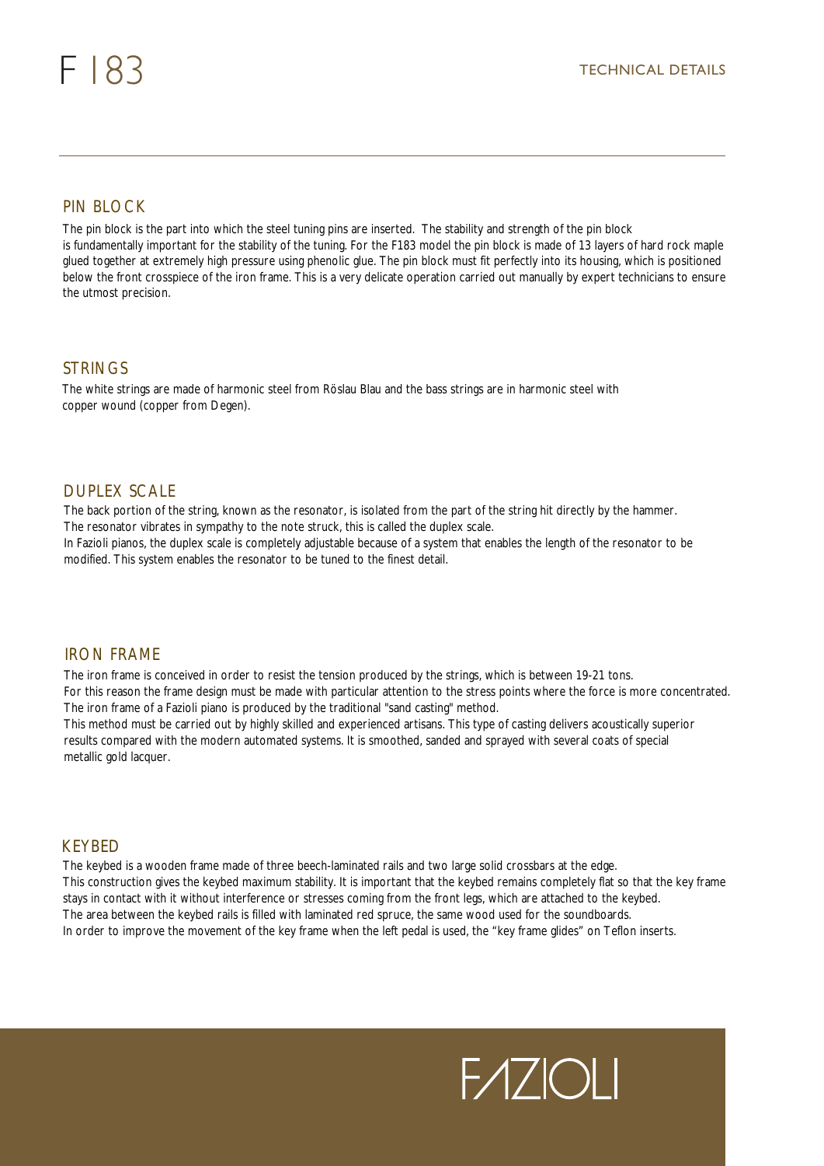# PIN BLOCK

The pin block is the part into which the steel tuning pins are inserted. The stability and strength of the pin block is fundamentally important for the stability of the tuning. For the F183 model the pin block is made of 13 layers of hard rock maple glued together at extremely high pressure using phenolic glue. The pin block must fit perfectly into its housing, which is positioned below the front crosspiece of the iron frame. This is a very delicate operation carried out manually by expert technicians to ensure the utmost precision.

## STRINGS

The white strings are made of harmonic steel from Röslau Blau and the bass strings are in harmonic steel with copper wound (copper from Degen).

# DUPLEX SCALE

The back portion of the string, known as the resonator, is isolated from the part of the string hit directly by the hammer. The resonator vibrates in sympathy to the note struck, this is called the duplex scale. In Fazioli pianos, the duplex scale is completely adjustable because of a system that enables the length of the resonator to be modified. This system enables the resonator to be tuned to the finest detail.

# IRON FRAME

The iron frame is conceived in order to resist the tension produced by the strings, which is between 19-21 tons. For this reason the frame design must be made with particular attention to the stress points where the force is more concentrated. The iron frame of a Fazioli piano is produced by the traditional "sand casting" method.

This method must be carried out by highly skilled and experienced artisans. This type of casting delivers acoustically superior results compared with the modern automated systems. It is smoothed, sanded and sprayed with several coats of special metallic gold lacquer.

### **KFYBFD**

The keybed is a wooden frame made of three beech-laminated rails and two large solid crossbars at the edge. This construction gives the keybed maximum stability. It is important that the keybed remains completely flat so that the key frame stays in contact with it without interference or stresses coming from the front legs, which are attached to the keybed. The area between the keybed rails is filled with laminated red spruce, the same wood used for the soundboards. In order to improve the movement of the key frame when the left pedal is used, the "key frame glides" on Teflon inserts.